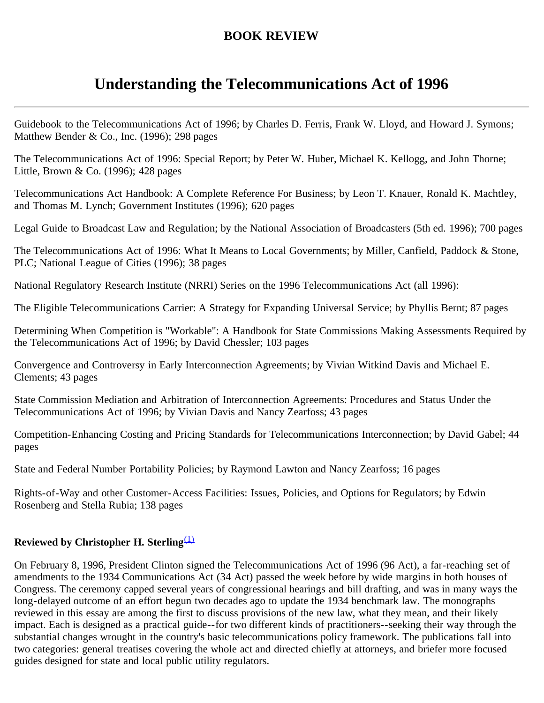## **BOOK REVIEW**

## **Understanding the Telecommunications Act of 1996**

Guidebook to the Telecommunications Act of 1996; by Charles D. Ferris, Frank W. Lloyd, and Howard J. Symons; Matthew Bender & Co., Inc. (1996); 298 pages

The Telecommunications Act of 1996: Special Report; by Peter W. Huber, Michael K. Kellogg, and John Thorne; Little, Brown & Co. (1996); 428 pages

Telecommunications Act Handbook: A Complete Reference For Business; by Leon T. Knauer, Ronald K. Machtley, and Thomas M. Lynch; Government Institutes (1996); 620 pages

Legal Guide to Broadcast Law and Regulation; by the National Association of Broadcasters (5th ed. 1996); 700 pages

The Telecommunications Act of 1996: What It Means to Local Governments; by Miller, Canfield, Paddock & Stone, PLC; National League of Cities (1996); 38 pages

National Regulatory Research Institute (NRRI) Series on the 1996 Telecommunications Act (all 1996):

The Eligible Telecommunications Carrier: A Strategy for Expanding Universal Service; by Phyllis Bernt; 87 pages

Determining When Competition is "Workable": A Handbook for State Commissions Making Assessments Required by the Telecommunications Act of 1996; by David Chessler; 103 pages

Convergence and Controversy in Early Interconnection Agreements; by Vivian Witkind Davis and Michael E. Clements; 43 pages

State Commission Mediation and Arbitration of Interconnection Agreements: Procedures and Status Under the Telecommunications Act of 1996; by Vivian Davis and Nancy Zearfoss; 43 pages

Competition-Enhancing Costing and Pricing Standards for Telecommunications Interconnection; by David Gabel; 44 pages

State and Federal Number Portability Policies; by Raymond Lawton and Nancy Zearfoss; 16 pages

Rights-of-Way and other Customer-Access Facilities: Issues, Policies, and Options for Regulators; by Edwin Rosenberg and Stella Rubia; 138 pages

## **Reviewed by Christopher H. Sterling**[\(1\)](#page-3-0)

On February 8, 1996, President Clinton signed the Telecommunications Act of 1996 (96 Act), a far-reaching set of amendments to the 1934 Communications Act (34 Act) passed the week before by wide margins in both houses of Congress. The ceremony capped several years of congressional hearings and bill drafting, and was in many ways the long-delayed outcome of an effort begun two decades ago to update the 1934 benchmark law. The monographs reviewed in this essay are among the first to discuss provisions of the new law, what they mean, and their likely impact. Each is designed as a practical guide--for two different kinds of practitioners--seeking their way through the substantial changes wrought in the country's basic telecommunications policy framework. The publications fall into two categories: general treatises covering the whole act and directed chiefly at attorneys, and briefer more focused guides designed for state and local public utility regulators.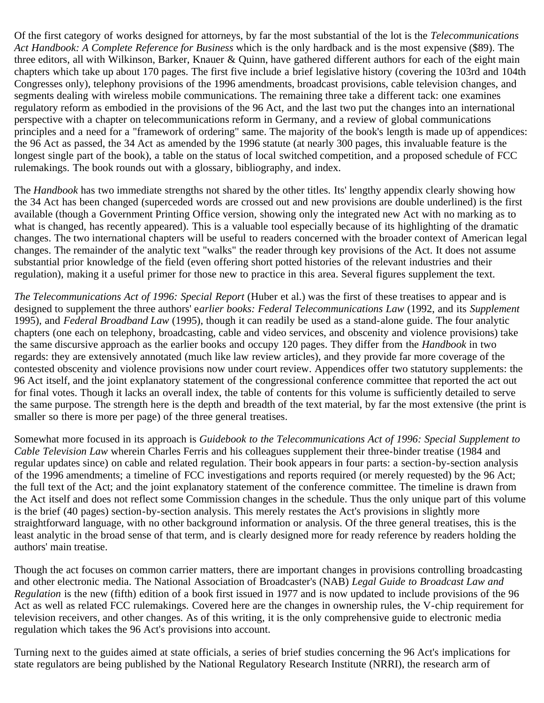Of the first category of works designed for attorneys, by far the most substantial of the lot is the *Telecommunications Act Handbook: A Complete Reference for Business* which is the only hardback and is the most expensive (\$89). The three editors, all with Wilkinson, Barker, Knauer & Quinn, have gathered different authors for each of the eight main chapters which take up about 170 pages. The first five include a brief legislative history (covering the 103rd and 104th Congresses only), telephony provisions of the 1996 amendments, broadcast provisions, cable television changes, and segments dealing with wireless mobile communications. The remaining three take a different tack: one examines regulatory reform as embodied in the provisions of the 96 Act, and the last two put the changes into an international perspective with a chapter on telecommunications reform in Germany, and a review of global communications principles and a need for a "framework of ordering" same. The majority of the book's length is made up of appendices: the 96 Act as passed, the 34 Act as amended by the 1996 statute (at nearly 300 pages, this invaluable feature is the longest single part of the book), a table on the status of local switched competition, and a proposed schedule of FCC rulemakings. The book rounds out with a glossary, bibliography, and index.

The *Handbook* has two immediate strengths not shared by the other titles. Its' lengthy appendix clearly showing how the 34 Act has been changed (superceded words are crossed out and new provisions are double underlined) is the first available (though a Government Printing Office version, showing only the integrated new Act with no marking as to what is changed, has recently appeared). This is a valuable tool especially because of its highlighting of the dramatic changes. The two international chapters will be useful to readers concerned with the broader context of American legal changes. The remainder of the analytic text "walks" the reader through key provisions of the Act. It does not assume substantial prior knowledge of the field (even offering short potted histories of the relevant industries and their regulation), making it a useful primer for those new to practice in this area. Several figures supplement the text.

*The Telecommunications Act of 1996: Special Report* (Huber et al.) was the first of these treatises to appear and is designed to supplement the three authors' e*arlier books: Federal Telecommunications Law* (1992, and its *Supplement* 1995), and *Federal Broadband Law* (1995), though it can readily be used as a stand-alone guide. The four analytic chapters (one each on telephony, broadcasting, cable and video services, and obscenity and violence provisions) take the same discursive approach as the earlier books and occupy 120 pages. They differ from the *Handbook* in two regards: they are extensively annotated (much like law review articles), and they provide far more coverage of the contested obscenity and violence provisions now under court review. Appendices offer two statutory supplements: the 96 Act itself, and the joint explanatory statement of the congressional conference committee that reported the act out for final votes. Though it lacks an overall index, the table of contents for this volume is sufficiently detailed to serve the same purpose. The strength here is the depth and breadth of the text material, by far the most extensive (the print is smaller so there is more per page) of the three general treatises.

Somewhat more focused in its approach is *Guidebook to the Telecommunications Act of 1996: Special Supplement to Cable Television Law* wherein Charles Ferris and his colleagues supplement their three-binder treatise (1984 and regular updates since) on cable and related regulation. Their book appears in four parts: a section-by-section analysis of the 1996 amendments; a timeline of FCC investigations and reports required (or merely requested) by the 96 Act; the full text of the Act; and the joint explanatory statement of the conference committee. The timeline is drawn from the Act itself and does not reflect some Commission changes in the schedule. Thus the only unique part of this volume is the brief (40 pages) section-by-section analysis. This merely restates the Act's provisions in slightly more straightforward language, with no other background information or analysis. Of the three general treatises, this is the least analytic in the broad sense of that term, and is clearly designed more for ready reference by readers holding the authors' main treatise.

Though the act focuses on common carrier matters, there are important changes in provisions controlling broadcasting and other electronic media. The National Association of Broadcaster's (NAB) *Legal Guide to Broadcast Law and Regulation* is the new (fifth) edition of a book first issued in 1977 and is now updated to include provisions of the 96 Act as well as related FCC rulemakings. Covered here are the changes in ownership rules, the V-chip requirement for television receivers, and other changes. As of this writing, it is the only comprehensive guide to electronic media regulation which takes the 96 Act's provisions into account.

Turning next to the guides aimed at state officials, a series of brief studies concerning the 96 Act's implications for state regulators are being published by the National Regulatory Research Institute (NRRI), the research arm of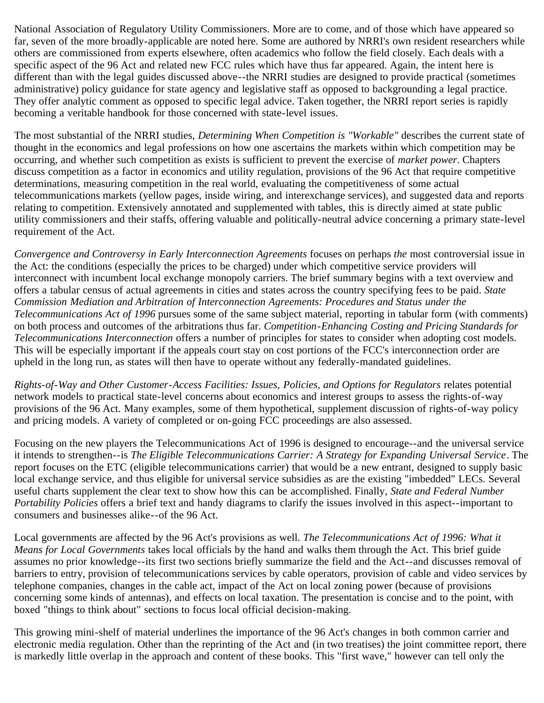National Association of Regulatory Utility Commissioners. More are to come, and of those which have appeared so far, seven of the more broadly-applicable are noted here. Some are authored by NRRI's own resident researchers while others are commissioned from experts elsewhere, often academics who follow the field closely. Each deals with a specific aspect of the 96 Act and related new FCC rules which have thus far appeared. Again, the intent here is different than with the legal guides discussed above--the NRRI studies are designed to provide practical (sometimes administrative) policy guidance for state agency and legislative staff as opposed to backgrounding a legal practice. They offer analytic comment as opposed to specific legal advice. Taken together, the NRRI report series is rapidly becoming a veritable handbook for those concerned with state-level issues.

The most substantial of the NRRI studies, *Determining When Competition is "Workable"* describes the current state of thought in the economics and legal professions on how one ascertains the markets within which competition may be occurring, and whether such competition as exists is sufficient to prevent the exercise of *market power*. Chapters discuss competition as a factor in economics and utility regulation, provisions of the 96 Act that require competitive determinations, measuring competition in the real world, evaluating the competitiveness of some actual telecommunications markets (yellow pages, inside wiring, and interexchange services), and suggested data and reports relating to competition. Extensively annotated and supplemented with tables, this is directly aimed at state public utility commissioners and their staffs, offering valuable and politically-neutral advice concerning a primary state-level requirement of the Act.

*Convergence and Controversy in Early Interconnection Agreements* focuses on perhaps *the* most controversial issue in the Act: the conditions (especially the prices to be charged) under which competitive service providers will interconnect with incumbent local exchange monopoly carriers. The brief summary begins with a text overview and offers a tabular census of actual agreements in cities and states across the country specifying fees to be paid. *State Commission Mediation and Arbitration of Interconnection Agreements: Procedures and Status under the Telecommunications Act of 1996* pursues some of the same subject material, reporting in tabular form (with comments) on both process and outcomes of the arbitrations thus far. *Competition-Enhancing Costing and Pricing Standards for Telecommunications Interconnection* offers a number of principles for states to consider when adopting cost models. This will be especially important if the appeals court stay on cost portions of the FCC's interconnection order are upheld in the long run, as states will then have to operate without any federally-mandated guidelines.

*Rights-of-Way and Other Customer-Access Facilities: Issues, Policies, and Options for Regulators* relates potential network models to practical state-level concerns about economics and interest groups to assess the rights-of-way provisions of the 96 Act. Many examples, some of them hypothetical, supplement discussion of rights-of-way policy and pricing models. A variety of completed or on-going FCC proceedings are also assessed.

Focusing on the new players the Telecommunications Act of 1996 is designed to encourage--and the universal service it intends to strengthen--is *The Eligible Telecommunications Carrier: A Strategy for Expanding Universal Service*. The report focuses on the ETC (eligible telecommunications carrier) that would be a new entrant, designed to supply basic local exchange service, and thus eligible for universal service subsidies as are the existing "imbedded" LECs. Several useful charts supplement the clear text to show how this can be accomplished. Finally, *State and Federal Number Portability Policies* offers a brief text and handy diagrams to clarify the issues involved in this aspect--important to consumers and businesses alike--of the 96 Act.

Local governments are affected by the 96 Act's provisions as well. *The Telecommunications Act of 1996: What it Means for Local Governments* takes local officials by the hand and walks them through the Act. This brief guide assumes no prior knowledge--its first two sections briefly summarize the field and the Act--and discusses removal of barriers to entry, provision of telecommunications services by cable operators, provision of cable and video services by telephone companies, changes in the cable act, impact of the Act on local zoning power (because of provisions concerning some kinds of antennas), and effects on local taxation. The presentation is concise and to the point, with boxed "things to think about" sections to focus local official decision-making.

This growing mini-shelf of material underlines the importance of the 96 Act's changes in both common carrier and electronic media regulation. Other than the reprinting of the Act and (in two treatises) the joint committee report, there is markedly little overlap in the approach and content of these books. This "first wave," however can tell only the